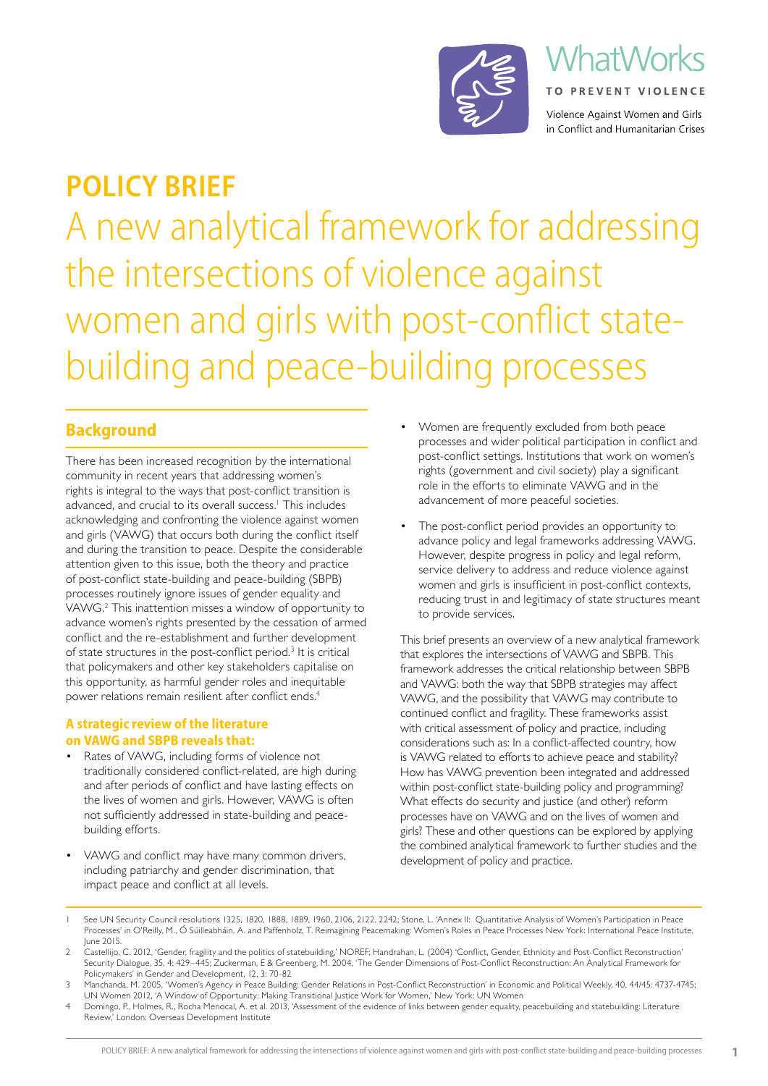

# **VhatWorks TO PREVENT VIOLENCE** Violence Against Women and Girls

in Conflict and Humanitarian Crises

A new analytical framework for addressing the intersections of violence against women and girls with post-conflict state-**POLICY BRIEF**

# building and peace-building processes

# **Background**

There has been increased recognition by the international community in recent years that addressing women's rights is integral to the ways that post-conflict transition is advanced, and crucial to its overall success.<sup>1</sup> This includes acknowledging and confronting the violence against women and girls (VAWG) that occurs both during the conflict itself and during the transition to peace. Despite the considerable attention given to this issue, both the theory and practice of post-conflict state-building and peace-building (SBPB) processes routinely ignore issues of gender equality and VAWG.2 This inattention misses a window of opportunity to advance women's rights presented by the cessation of armed conflict and the re-establishment and further development of state structures in the post-conflict period.<sup>3</sup> It is critical that policymakers and other key stakeholders capitalise on this opportunity, as harmful gender roles and inequitable power relations remain resilient after conflict ends.<sup>4</sup>

### **A strategic review of the literature on VAWG and SBPB reveals that:**

- Rates of VAWG, including forms of violence not traditionally considered conflict-related, are high during and after periods of conflict and have lasting effects on the lives of women and girls. However, VAWG is often not sufficiently addressed in state-building and peacebuilding efforts.
- VAWG and conflict may have many common drivers, including patriarchy and gender discrimination, that impact peace and conflict at all levels.
- Women are frequently excluded from both peace processes and wider political participation in conflict and post-conflict settings. Institutions that work on women's rights (government and civil society) play a significant role in the efforts to eliminate VAWG and in the advancement of more peaceful societies.
- The post-conflict period provides an opportunity to advance policy and legal frameworks addressing VAWG. However, despite progress in policy and legal reform, service delivery to address and reduce violence against women and girls is insufficient in post-conflict contexts, reducing trust in and legitimacy of state structures meant to provide services.

This brief presents an overview of a new analytical framework that explores the intersections of VAWG and SBPB. This framework addresses the critical relationship between SBPB and VAWG: both the way that SBPB strategies may affect VAWG, and the possibility that VAWG may contribute to continued conflict and fragility. These frameworks assist with critical assessment of policy and practice, including considerations such as: In a conflict-affected country, how is VAWG related to efforts to achieve peace and stability? How has VAWG prevention been integrated and addressed within post-conflict state-building policy and programming? What effects do security and justice (and other) reform processes have on VAWG and on the lives of women and girls? These and other questions can be explored by applying the combined analytical framework to further studies and the development of policy and practice.

- See UN Security Council resolutions 1325, 1820, 1888, 1889, 1960, 2106, 2122, 2242; Stone, L. 'Annex II: Quantitative Analysis of Women's Participation in Peace Processes' in O'Reilly, M., Ó Súilleabháin, A. and Paffenholz, T. Reimagining Peacemaking: Women's Roles in Peace Processes New York: International Peace Institute, June 2015.
- 2 Castellijo, C. 2012, 'Gender, fragility and the politics of statebuilding,' NOREF; Handrahan, L. (2004) 'Conflict, Gender, Ethnicity and Post-Conflict Reconstruction' Security Dialogue, 35, 4: 429–445; Zuckerman, E & Greenberg, M. 2004, 'The Gender Dimensions of Post-Conflict Reconstruction: An Analytical Framework for Policymakers' in Gender and Development, 12, 3: 70-82
- 3 Manchanda, M. 2005, 'Women's Agency in Peace Building: Gender Relations in Post-Conflict Reconstruction' in Economic and Political Weekly, 40, 44/45: 4737-4745; UN Women 2012, 'A Window of Opportunity: Making Transitional Justice Work for Women,' New York: UN Women
- 4 Domingo, P., Holmes, R., Rocha Menocal, A. et al. 2013, 'Assessment of the evidence of links between gender equality, peacebuilding and statebuilding: Literature Review,' London: Overseas Development Institute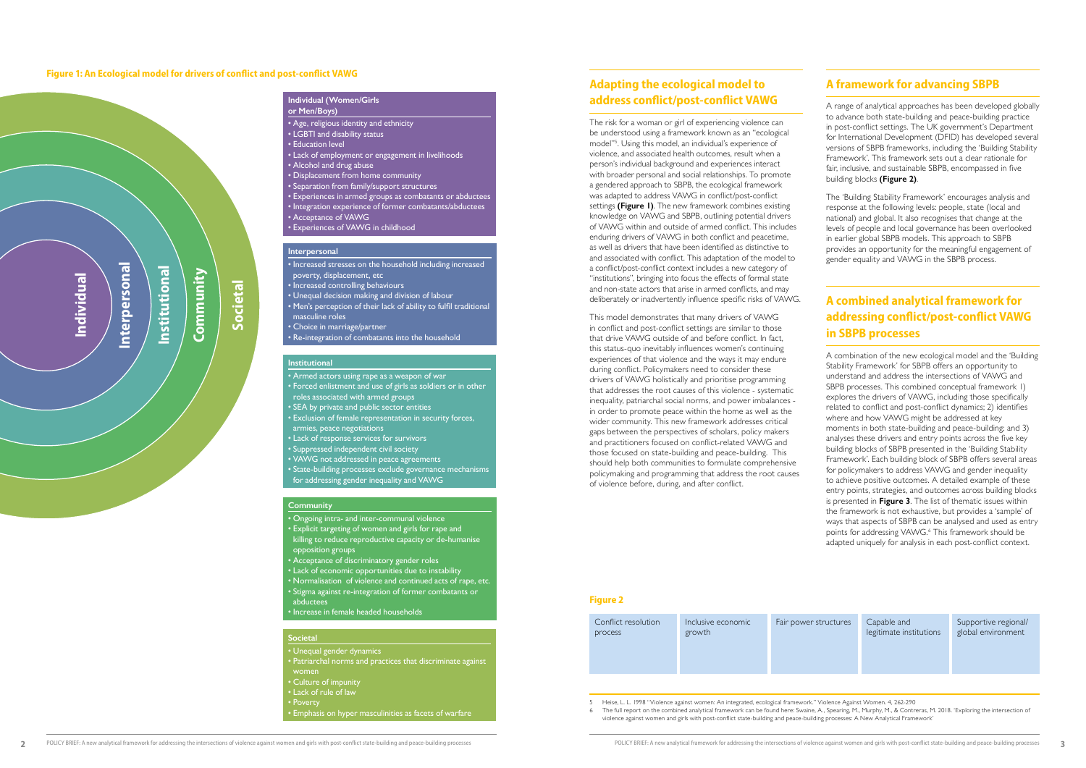#### **Figure 1: An Ecological model for drivers of conflict and post-conflict VAWG**



#### **Individual (Women/Girls or Men/Boys)**

- Age, religious identity and ethnicity • LGBTI and disability status • Education level • Lack of employment or engagement in livelihoods • Alcohol and drug abuse • Displacement from home community • Separation from family/support structures • Experiences in armed groups as combatants or abductees • Integration experience of former combatants/abductees • Acceptance of VAWG
- Experiences of VAWG in childhood

• Increased stresses on the household including increased poverty, displacement, etc • Increased controlling behaviours • Unequal decision making and division of labour • Men's perception of their lack of ability to fulfil traditional masculine roles • Choice in marriage/partner • Re-integration of combatants into the household

#### **Interpersonal**

#### **Institutional**

• Armed actors using rape as a weapon of war • Forced enlistment and use of girls as soldiers or in other roles associated with armed groups • SEA by private and public sector entities • Exclusion of female representation in security forces, armies, peace negotiations • Lack of response services for survivors • Suppressed independent civil society • VAWG not addressed in peace agreements • State-building processes exclude governance mechanisms for addressing gender inequality and VAWG

#### **Community**

- Ongoing intra- and inter-communal violence • Explicit targeting of women and girls for rape and killing to reduce reproductive capacity or de-humanise opposition groups
- Acceptance of discriminatory gender roles
- Lack of economic opportunities due to instability
- Normalisation of violence and continued acts of rape, etc. • Stigma against re-integration of former combatants or abductees
- Increase in female headed households

#### **Societal**

• Unequal gender dynamics • Patriarchal norms and practices that discriminate against women • Culture of impunity • Lack of rule of law • Poverty • Emphasis on hyper masculinities as facets of warfare

# **Adapting the ecological model to address conflict/post-conflict VAWG**

The risk for a woman or girl of experiencing violence can be understood using a framework known as an "ecological model"<sup>5</sup> . Using this model, an individual's experience of violence, and associated health outcomes, result when a person's individual background and experiences interact with broader personal and social relationships. To promote a gendered approach to SBPB, the ecological framework was adapted to address VAWG in conflict/post-conflict settings **(Figure 1)**. The new framework combines existing knowledge on VAWG and SBPB, outlining potential drivers of VAWG within and outside of armed conflict. This includes enduring drivers of VAWG in both conflict and peacetime, as well as drivers that have been identified as distinctive to and associated with conflict. This adaptation of the model to a conflict/post-conflict context includes a new category of "institutions", bringing into focus the effects of formal state and non-state actors that arise in armed conflicts, and may deliberately or inadvertently influence specific risks of VAWG.

> tructures Capable and legitimate institutions

This model demonstrates that many drivers of VAWG in conflict and post-conflict settings are similar to those that drive VAWG outside of and before conflict. In fact, this status-quo inevitably influences women's continuing experiences of that violence and the ways it may endure during conflict. Policymakers need to consider these drivers of VAWG holistically and prioritise programming that addresses the root causes of this violence - systematic inequality, patriarchal social norms, and power imbalances in order to promote peace within the home as well as the wider community. This new framework addresses critical gaps between the perspectives of scholars, policy makers and practitioners focused on conflict-related VAWG and those focused on state-building and peace-building. This should help both communities to formulate comprehensive policymaking and programming that address the root causes of violence before, during, and after conflict.

## **A framework for advancing SBPB**

A range of analytical approaches has been developed globally to advance both state-building and peace-building practice in post-conflict settings. The UK government's Department for International Development (DFID) has developed several versions of SBPB frameworks, including the 'Building Stability Framework'. This framework sets out a clear rationale for fair, inclusive, and sustainable SBPB, encompassed in five building blocks **(Figure 2)**.

The 'Building Stability Framework' encourages analysis and response at the following levels: people, state (local and national) and global. It also recognises that change at the levels of people and local governance has been overlooked in earlier global SBPB models. This approach to SBPB provides an opportunity for the meaningful engagement of gender equality and VAWG in the SBPB process.

# **A combined analytical framework for addressing conflict/post-conflict VAWG in SBPB processes**

A combination of the new ecological model and the 'Building Stability Framework' for SBPB offers an opportunity to understand and address the intersections of VAWG and SBPB processes. This combined conceptual framework 1) explores the drivers of VAWG, including those specifically related to conflict and post-conflict dynamics; 2) identifies where and how VAWG might be addressed at key moments in both state-building and peace-building; and 3) analyses these drivers and entry points across the five key building blocks of SBPB presented in the 'Building Stability Framework'. Each building block of SBPB offers several areas for policymakers to address VAWG and gender inequality to achieve positive outcomes. A detailed example of these entry points, strategies, and outcomes across building blocks is presented in **Figure 3**. The list of thematic issues within the framework is not exhaustive, but provides a 'sample' of ways that aspects of SBPB can be analysed and used as entry points for addressing VAWG.<sup>6</sup> This framework should be adapted uniquely for analysis in each post-conflict context.

5 Heise, L. L. 1998 "Violence against women: An integrated, ecological framework." Violence Against Women. 4, 262-290 6 The full report on the combined analytical framework can be found here: Swaine, A., Spearing, M., Murphy, M., & Contreras, M. 2018. 'Exploring the intersection of violence against women and girls with post-conflict state-building and peace-building processes: A New Analytical Framework'

| Conflict resolution<br>process | Inclusive economic<br>growth | Fair power s |
|--------------------------------|------------------------------|--------------|
|                                |                              |              |

Supportive regional/ global environment

#### **Figure 2**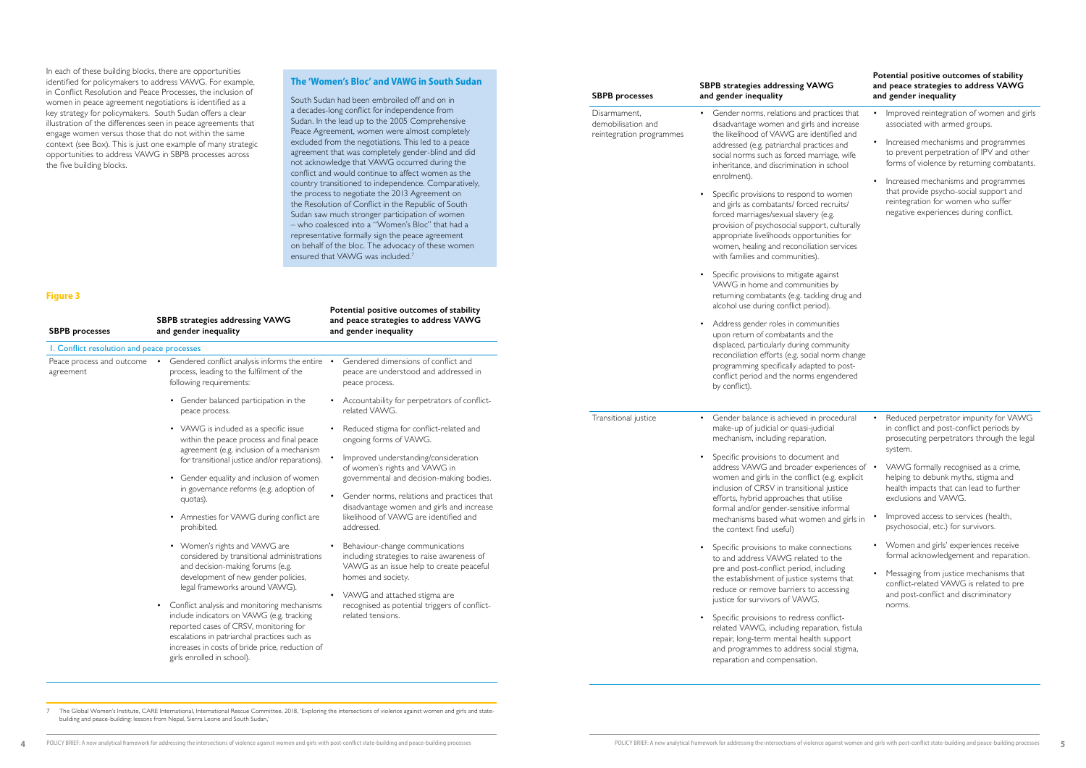#### **Figure 3**

|         | <b>SBPB</b> processes                                          | <b>SBPB strategies addressing VAWG</b><br>and gender inequality                                                                                                                                                                                                                                                                                                                                                                                                                                                                                                                                                                                                                                                                                                                                                                                                                                                                                                                                                                                                             | Potential positive outcomes of stability<br>and peace strategies to address VAWG<br>and gender inequality                                                                                                                                                                                                                                                                                                                                                                                                                                                                                       |
|---------|----------------------------------------------------------------|-----------------------------------------------------------------------------------------------------------------------------------------------------------------------------------------------------------------------------------------------------------------------------------------------------------------------------------------------------------------------------------------------------------------------------------------------------------------------------------------------------------------------------------------------------------------------------------------------------------------------------------------------------------------------------------------------------------------------------------------------------------------------------------------------------------------------------------------------------------------------------------------------------------------------------------------------------------------------------------------------------------------------------------------------------------------------------|-------------------------------------------------------------------------------------------------------------------------------------------------------------------------------------------------------------------------------------------------------------------------------------------------------------------------------------------------------------------------------------------------------------------------------------------------------------------------------------------------------------------------------------------------------------------------------------------------|
|         | Disarmament,<br>demobilisation and<br>reintegration programmes | Gender norms, relations and practices that<br>disadvantage women and girls and increase<br>the likelihood of VAWG are identified and<br>addressed (e.g. patriarchal practices and<br>social norms such as forced marriage, wife<br>inheritance, and discrimination in school<br>enrolment).<br>Specific provisions to respond to women<br>and girls as combatants/ forced recruits/<br>forced marriages/sexual slavery (e.g.<br>provision of psychosocial support, culturally<br>appropriate livelihoods opportunities for<br>women, healing and reconciliation services<br>with families and communities).<br>Specific provisions to mitigate against<br>VAWG in home and communities by<br>returning combatants (e.g. tackling drug and<br>alcohol use during conflict period).<br>Address gender roles in communities<br>٠<br>upon return of combatants and the<br>displaced, particularly during community<br>reconciliation efforts (e.g. social norm change<br>programming specifically adapted to post-<br>conflict period and the norms engendered<br>by conflict). | Improved reintegration of women and girls<br>٠<br>associated with armed groups.<br>Increased mechanisms and programmes<br>٠<br>to prevent perpetration of IPV and other<br>forms of violence by returning combatants.<br>Increased mechanisms and programmes<br>$\bullet$<br>that provide psycho-social support and<br>reintegration for women who suffer<br>negative experiences during conflict.                                                                                                                                                                                              |
| ıt<br>e | Transitional justice                                           | Gender balance is achieved in procedural<br>$\bullet$<br>make-up of judicial or quasi-judicial<br>mechanism, including reparation.<br>Specific provisions to document and<br>address VAWG and broader experiences of • VAWG formally recognised as a crime,<br>women and girls in the conflict (e.g. explicit<br>inclusion of CRSV in transitional justice<br>efforts, hybrid approaches that utilise<br>formal and/or gender-sensitive informal<br>mechanisms based what women and girls in<br>the context find useful)<br>Specific provisions to make connections<br>to and address VAWG related to the<br>pre and post-conflict period, including<br>the establishment of justice systems that<br>reduce or remove barriers to accessing<br>justice for survivors of VAWG.                                                                                                                                                                                                                                                                                               | Reduced perpetrator impunity for VAWG<br>٠<br>in conflict and post-conflict periods by<br>prosecuting perpetrators through the legal<br>system.<br>helping to debunk myths, stigma and<br>health impacts that can lead to further<br>exclusions and VAWG.<br>Improved access to services (health,<br>$\bullet$<br>psychosocial, etc.) for survivors.<br>Women and girls' experiences receive<br>٠<br>formal acknowledgement and reparation.<br>Messaging from justice mechanisms that<br>$\bullet$<br>conflict-related VAWG is related to pre<br>and post-conflict and discriminatory<br>norms. |
|         |                                                                | Specific provisions to redress conflict-<br>related VAWG, including reparation, fistula<br>repair, long-term mental health support<br>and programmes to address social stigma,<br>reparation and compensation.                                                                                                                                                                                                                                                                                                                                                                                                                                                                                                                                                                                                                                                                                                                                                                                                                                                              |                                                                                                                                                                                                                                                                                                                                                                                                                                                                                                                                                                                                 |

**Potential positive outcomes of stability** 

| <b>SBPB</b> processes                      | <b>SBPB strategies addressing VAWG</b><br>and gender inequality                                                                                                                                                                                                                                                                                                                                                                                                      | and peace strategies to address VAWG<br>and gender inequality                                                                                                                                                                                                                                                                            |
|--------------------------------------------|----------------------------------------------------------------------------------------------------------------------------------------------------------------------------------------------------------------------------------------------------------------------------------------------------------------------------------------------------------------------------------------------------------------------------------------------------------------------|------------------------------------------------------------------------------------------------------------------------------------------------------------------------------------------------------------------------------------------------------------------------------------------------------------------------------------------|
| I. Conflict resolution and peace processes |                                                                                                                                                                                                                                                                                                                                                                                                                                                                      |                                                                                                                                                                                                                                                                                                                                          |
| Peace process and outcome<br>agreement     | Gendered conflict analysis informs the entire •<br>$\bullet$<br>process, leading to the fulfilment of the<br>following requirements:                                                                                                                                                                                                                                                                                                                                 | Gendered dimensions of conflict and<br>peace are understood and addressed in<br>peace process.                                                                                                                                                                                                                                           |
|                                            | Gender balanced participation in the<br>٠<br>peace process.                                                                                                                                                                                                                                                                                                                                                                                                          | Accountability for perpetrators of conflict-<br>related VAWG.                                                                                                                                                                                                                                                                            |
|                                            | • VAWG is included as a specific issue<br>within the peace process and final peace<br>agreement (e.g. inclusion of a mechanism<br>for transitional justice and/or reparations).<br>Gender equality and inclusion of women<br>in governance reforms (e.g. adoption of<br>quotas).<br>Amnesties for VAWG during conflict are<br>prohibited.                                                                                                                            | Reduced stigma for conflict-related and<br>ongoing forms of VAWG.<br>Improved understanding/consideration<br>of women's rights and VAWG in<br>governmental and decision-making bodies.<br>Gender norms, relations and practices that<br>disadvantage women and girls and increase<br>likelihood of VAWG are identified and<br>addressed. |
|                                            | • Women's rights and VAWG are<br>considered by transitional administrations<br>and decision-making forums (e.g.<br>development of new gender policies,<br>legal frameworks around VAWG).<br>Conflict analysis and monitoring mechanisms<br>٠<br>include indicators on VAWG (e.g. tracking<br>reported cases of CRSV, monitoring for<br>escalations in patriarchal practices such as<br>increases in costs of bride price, reduction of<br>girls enrolled in school). | Behaviour-change communications<br>including strategies to raise awareness of<br>VAWG as an issue help to create peaceful<br>homes and society.<br>VAWG and attached stigma are<br>recognised as potential triggers of conflict-<br>related tensions.                                                                                    |

In each of these building blocks, there are opportunities identified for policymakers to address VAWG. For example, in Conflict Resolution and Peace Processes, the inclusion of women in peace agreement negotiations is identified as a key strategy for policymakers. South Sudan offers a clear illustration of the differences seen in peace agreements that engage women versus those that do not within the same context (see Box). This is just one example of many strategic opportunities to address VAWG in SBPB processes across the five building blocks.

### **The 'Women's Bloc' and VAWG in South Sudan**

South Sudan had been embroiled off and on in a decades-long conflict for independence from Sudan. In the lead up to the 2005 Comprehensive Peace Agreement, women were almost completely excluded from the negotiations. This led to a peace agreement that was completely gender-blind and did not acknowledge that VAWG occurred during the conflict and would continue to affect women as the country transitioned to independence. Comparatively, the process to negotiate the 2013 Agreement on the Resolution of Conflict in the Republic of South Sudan saw much stronger participation of women – who coalesced into a "Women's Bloc" that had a representative formally sign the peace agreement on behalf of the bloc. The advocacy of these women ensured that VAWG was included.<sup>7</sup>

7 The Global Women's Institute, CARE International, International Rescue Committee. 2018, 'Exploring the intersections of violence against women and girls and statebuilding and peace-building: lessons from Nepal, Sierra Leone and South Sudan,'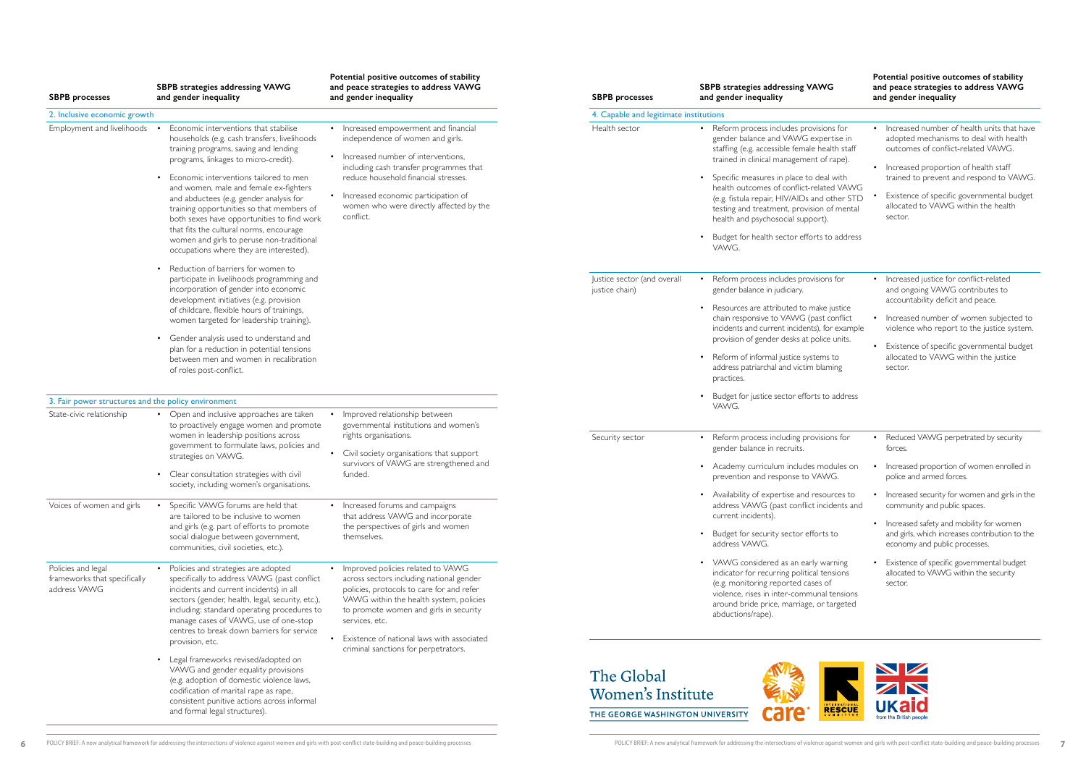| <b>SBPB</b> processes                                              | SBPB strategies addressing VAWG<br>and gender inequality                                                                                                                                                                                                                                                                                                                                                                                                                                                                                                                                                                                                                  | Potential positive outcomes of stability<br>and peace strategies to address VAWG<br>and gender inequality                                                                                                                                                                                             | <b>SBPB</b> processes                                               | SBPB strategies addressing VAWG<br>and gender inequality                                                                                                                                                                                                                                                                                                                                                                                                      | Potential positive outcomes of stability<br>and peace strategies to address VAWG<br>and gender inequality                                                                                                                                                                                                        |
|--------------------------------------------------------------------|---------------------------------------------------------------------------------------------------------------------------------------------------------------------------------------------------------------------------------------------------------------------------------------------------------------------------------------------------------------------------------------------------------------------------------------------------------------------------------------------------------------------------------------------------------------------------------------------------------------------------------------------------------------------------|-------------------------------------------------------------------------------------------------------------------------------------------------------------------------------------------------------------------------------------------------------------------------------------------------------|---------------------------------------------------------------------|---------------------------------------------------------------------------------------------------------------------------------------------------------------------------------------------------------------------------------------------------------------------------------------------------------------------------------------------------------------------------------------------------------------------------------------------------------------|------------------------------------------------------------------------------------------------------------------------------------------------------------------------------------------------------------------------------------------------------------------------------------------------------------------|
| 2. Inclusive economic growth                                       |                                                                                                                                                                                                                                                                                                                                                                                                                                                                                                                                                                                                                                                                           |                                                                                                                                                                                                                                                                                                       | 4. Capable and legitimate institutions                              |                                                                                                                                                                                                                                                                                                                                                                                                                                                               |                                                                                                                                                                                                                                                                                                                  |
| Employment and livelihoods                                         | Economic interventions that stabilise<br>households (e.g. cash transfers, livelihoods<br>training programs, saving and lending<br>programs, linkages to micro-credit).<br>Economic interventions tailored to men<br>and women, male and female ex-fighters<br>and abductees (e.g. gender analysis for<br>training opportunities so that members of<br>both sexes have opportunities to find work<br>that fits the cultural norms, encourage<br>women and girls to peruse non-traditional<br>occupations where they are interested).<br>• Reduction of barriers for women to                                                                                               | • Increased empowerment and financial<br>independence of women and girls.<br>• Increased number of interventions,<br>including cash transfer programmes that<br>reduce household financial stresses.<br>• Increased economic participation of<br>women who were directly affected by the<br>conflict. | Health sector                                                       | Reform process includes provisions for<br>gender balance and VAWG expertise in<br>staffing (e.g. accessible female health staff<br>trained in clinical management of rape).<br>Specific measures in place to deal with<br>health outcomes of conflict-related VAWG<br>(e.g. fistula repair, HIV/AIDs and other STD<br>testing and treatment, provision of mental<br>health and psychosocial support).<br>Budget for health sector efforts to address<br>VAWG. | • Increased number of health units that have<br>adopted mechanisms to deal with health<br>outcomes of conflict-related VAWG.<br>• Increased proportion of health staff<br>trained to prevent and respond to VAWG.<br>Existence of specific governmental budget<br>allocated to VAWG within the health<br>sector. |
|                                                                    | participate in livelihoods programming and<br>incorporation of gender into economic<br>development initiatives (e.g. provision<br>of childcare, flexible hours of trainings,<br>women targeted for leadership training).<br>Gender analysis used to understand and<br>plan for a reduction in potential tensions<br>between men and women in recalibration<br>of roles post-conflict.                                                                                                                                                                                                                                                                                     |                                                                                                                                                                                                                                                                                                       | Justice sector (and overall<br>justice chain)                       | Reform process includes provisions for<br>gender balance in judiciary.<br>Resources are attributed to make justice<br>chain responsive to VAWG (past conflict<br>incidents and current incidents), for example<br>provision of gender desks at police units.<br>• Reform of informal justice systems to<br>address patriarchal and victim blaming<br>practices.                                                                                               | • Increased justice for conflict-related<br>and ongoing VAWG contributes to<br>accountability deficit and peace.<br>• Increased number of women subjected to<br>violence who report to the justice system.<br>• Existence of specific governmental budget<br>allocated to VAWG within the justice<br>sector.     |
| 3. Fair power structures and the policy environment                |                                                                                                                                                                                                                                                                                                                                                                                                                                                                                                                                                                                                                                                                           |                                                                                                                                                                                                                                                                                                       |                                                                     | Budget for justice sector efforts to address                                                                                                                                                                                                                                                                                                                                                                                                                  |                                                                                                                                                                                                                                                                                                                  |
| State-civic relationship                                           | • Open and inclusive approaches are taken<br>to proactively engage women and promote<br>women in leadership positions across<br>government to formulate laws, policies and<br>strategies on VAWG.<br>• Clear consultation strategies with civil<br>society, including women's organisations.                                                                                                                                                                                                                                                                                                                                                                              | Improved relationship between<br>governmental institutions and women's<br>rights organisations.<br>• Civil society organisations that support<br>survivors of VAWG are strengthened and<br>funded.                                                                                                    | Security sector                                                     | VAWG.<br>• Reform process including provisions for<br>gender balance in recruits.<br>• Academy curriculum includes modules on<br>prevention and response to VAWG.<br>• Availability of expertise and resources to                                                                                                                                                                                                                                             | • Reduced VAWG perpetrated by security<br>forces.<br>Increased proportion of women enrolled in<br>police and armed forces.                                                                                                                                                                                       |
| Voices of women and girls                                          | Specific VAWG forums are held that<br>are tailored to be inclusive to women<br>and girls (e.g. part of efforts to promote<br>social dialogue between government,<br>communities, civil societies, etc.).                                                                                                                                                                                                                                                                                                                                                                                                                                                                  | • Increased forums and campaigns<br>that address VAWG and incorporate<br>the perspectives of girls and women<br>themselves.                                                                                                                                                                           |                                                                     | address VAWG (past conflict incidents and<br>current incidents).<br>• Budget for security sector efforts to<br>address VAWG.                                                                                                                                                                                                                                                                                                                                  | • Increased security for women and girls in the<br>community and public spaces.<br>• Increased safety and mobility for women<br>and girls, which increases contribution to the<br>economy and public processes.                                                                                                  |
| Policies and legal<br>frameworks that specifically<br>address VAWG | • Policies and strategies are adopted<br>• Improved policies related to VAWG<br>specifically to address VAWG (past conflict<br>across sectors including national gender<br>incidents and current incidents) in all<br>policies, protocols to care for and refer<br>sectors (gender, health, legal, security, etc.),<br>VAWG within the health system, policies<br>including: standard operating procedures to<br>to promote women and girls in security<br>manage cases of VAWG, use of one-stop<br>services, etc.<br>centres to break down barriers for service<br>Existence of national laws with associated<br>provision, etc.<br>criminal sanctions for perpetrators. |                                                                                                                                                                                                                                                                                                       |                                                                     | • VAWG considered as an early warning<br>indicator for recurring political tensions<br>(e.g. monitoring reported cases of<br>violence, rises in inter-communal tensions<br>around bride price, marriage, or targeted<br>abductions/rape).                                                                                                                                                                                                                     | • Existence of specific governmental budget<br>allocated to VAWG within the security<br>sector.                                                                                                                                                                                                                  |
|                                                                    | • Legal frameworks revised/adopted on<br>VAWG and gender equality provisions<br>(e.g. adoption of domestic violence laws,<br>codification of marital rape as rape,<br>consistent punitive actions across informal<br>and formal legal structures).                                                                                                                                                                                                                                                                                                                                                                                                                        |                                                                                                                                                                                                                                                                                                       | The Global<br>Women's Institute<br>THE GEORGE WASHINGTON UNIVERSITY | <b>RESCUE</b>                                                                                                                                                                                                                                                                                                                                                                                                                                                 | ZN<br><b>UKaid</b><br>from the British people                                                                                                                                                                                                                                                                    |